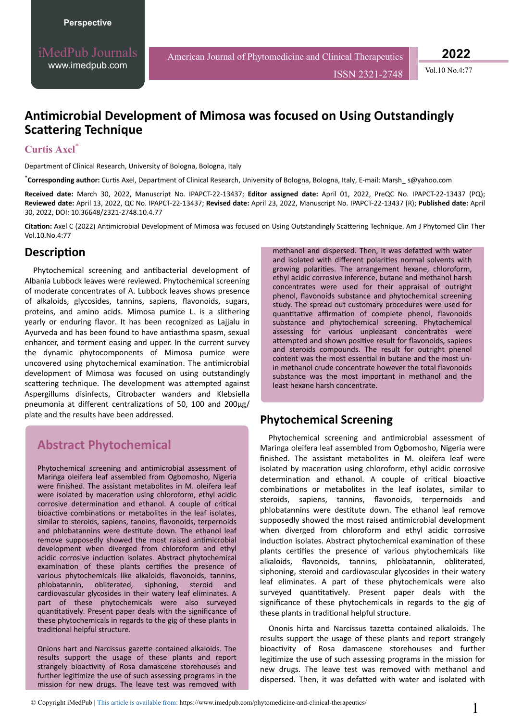ISSN 2321-2748 Vol.10 No.4:77

**2022**

## **Antimicrobial Development of Mimosa was focused on Using Outstandingly Scattering Technique**

#### **Curtis Axel**\*

Department of Clinical Research, University of Bologna, Bologna, Italy

\***Corresponding author:** ƵrƟƐ Axel, Department of Clinical Research, University of Bologna, Bologna, Italy, E-mail: Marsh\_ s@yahoo.com

**Received date:** March 30, 2022, Manuscript No. IPAPCT-22-13437; **Editor assigned date:** April 01, 2022, PreQC No. IPAPCT-22-13437 (PQ); **Reviewed date:** April 13, 2022, QC No. IPAPCT-22-13437; **Revised date:** April 23, 2022, Manuscript No. IPAPCT-22-13437 (R); **Published date:** April 30, 2022, DOI: 10.36648/2321-2748.10.4.77

Citation: Axel C (2022) Antimicrobial Development of Mimosa was focused on Using Outstandingly Scattering Technique. Am J Phytomed Clin Ther Vol.10.No.4:77

### Description

Phytochemical screening and antibacterial development of Albania Lubbock leaves were reviewed. Phytochemical screening of moderate concentrates of A. Lubbock leaves shows presence of alkaloids, glycosides, tannins, sapiens, flavonoids, sugars, proteins, and amino acids. Mimosa pumice L. is a slithering yearly or enduring flavor. It has been recognized as Lajjalu in Ayurveda and has been found to have antiasthma spasm, sexual enhancer, and torment easing and upper. In the current survey the dynamic phytocomponents of Mimosa pumice were uncovered using phytochemical examination. The antimicrobial development of Mimosa was focused on using outstandingly scattering technique. The development was attempted against Aspergillums disinfects, Citrobacter wanders and Klebsiella pneumonia at different centralizations of 50, 100 and 200μg/ plate and the results have been addressed.

# **Abstract Phytochemical**

Phytochemical screening and antimicrobial assessment of Maringa oleifera leaf assembled from Ogbomosho, Nigeria were finished. The assistant metabolites in M. oleifera leaf were isolated by maceration using chloroform, ethyl acidic corrosive determination and ethanol. A couple of critical bioactive combinations or metabolites in the leaf isolates, similar to steroids, sapiens, tannins, flavonoids, terpernoids and phlobatannins were destitute down. The ethanol leaf remove supposedly showed the most raised antimicrobial development when diverged from chloroform and ethyl acidic corrosive induction isolates. Abstract phytochemical examination of these plants certifies the presence of various phytochemicals like alkaloids, flavonoids, tannins, phlobatannin, obliterated, siphoning, steroid and cardiovascular glycosides in their watery leaf eliminates. A part of these phytochemicals were also surveyed quantitatively. Present paper deals with the significance of these phytochemicals in regards to the gig of these plants in traditional helpful structure.

Onions hart and Narcissus gazette contained alkaloids. The results support the usage of these plants and report strangely bioactivity of Rosa damascene storehouses and further legitimize the use of such assessing programs in the mission for new drugs. The leave test was removed with

methanol and dispersed. Then, it was defatted with water and isolated with different polarities normal solvents with growing polarities. The arrangement hexane, chloroform, ethyl acidic corrosive inference, butane and methanol harsh concentrates were used for their appraisal of outright phenol, flavonoids substance and phytochemical screening study. The spread out customary procedures were used for quantitative affirmation of complete phenol, flavonoids substance and phytochemical screening. Phytochemical assessing for various unpleasant concentrates were attempted and shown positive result for flavonoids, sapiens and steroids compounds. The result for outright phenol content was the most essential in butane and the most unin methanol crude concentrate however the total flavonoids substance was the most important in methanol and the least hexane harsh concentrate.

### **Phytochemical Screening**

Phytochemical screening and antimicrobial assessment of Maringa oleifera leaf assembled from Ogbomosho, Nigeria were finished. The assistant metabolites in M. oleifera leaf were isolated by maceration using chloroform, ethyl acidic corrosive determination and ethanol. A couple of critical bioactive combinations or metabolites in the leaf isolates, similar to steroids, sapiens, tannins, flavonoids, terpernoids and phlobatannins were destitute down. The ethanol leaf remove supposedly showed the most raised antimicrobial development when diverged from chloroform and ethyl acidic corrosive induction isolates. Abstract phytochemical examination of these plants certifies the presence of various phytochemicals like alkaloids, flavonoids, tannins, phlobatannin, obliterated, siphoning, steroid and cardiovascular glycosides in their watery leaf eliminates. A part of these phytochemicals were also surveyed quantitatively. Present paper deals with the significance of these phytochemicals in regards to the gig of these plants in traditional helpful structure.

Ononis hirta and Narcissus tazetta contained alkaloids. The results support the usage of these plants and report strangely bioactivity of Rosa damascene storehouses and further legitimize the use of such assessing programs in the mission for new drugs. The leave test was removed with methanol and dispersed. Then, it was defatted with water and isolated with